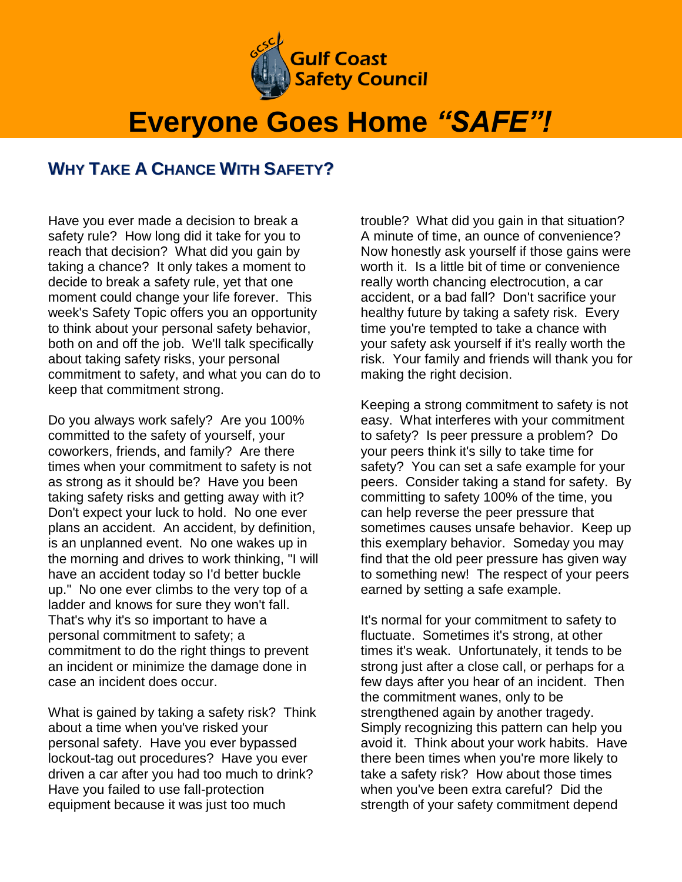

## **Everyone Goes Home** *"SAFE"!*

## **WHY TAKE A CHANCE WITH SAFETY?**

Have you ever made a decision to break a safety rule? How long did it take for you to reach that decision? What did you gain by taking a chance? It only takes a moment to decide to break a safety rule, yet that one moment could change your life forever. This week's Safety Topic offers you an opportunity to think about your personal safety behavior, both on and off the job. We'll talk specifically about taking safety risks, your personal commitment to safety, and what you can do to keep that commitment strong.

Do you always work safely? Are you 100% committed to the safety of yourself, your coworkers, friends, and family? Are there times when your commitment to safety is not as strong as it should be? Have you been taking safety risks and getting away with it? Don't expect your luck to hold. No one ever plans an accident. An accident, by definition, is an unplanned event. No one wakes up in the morning and drives to work thinking, "I will have an accident today so I'd better buckle up." No one ever climbs to the very top of a ladder and knows for sure they won't fall. That's why it's so important to have a personal commitment to safety; a commitment to do the right things to prevent an incident or minimize the damage done in case an incident does occur.

What is gained by taking a safety risk? Think about a time when you've risked your personal safety. Have you ever bypassed lockout-tag out procedures? Have you ever driven a car after you had too much to drink? Have you failed to use fall-protection equipment because it was just too much

trouble? What did you gain in that situation? A minute of time, an ounce of convenience? Now honestly ask yourself if those gains were worth it. Is a little bit of time or convenience really worth chancing electrocution, a car accident, or a bad fall? Don't sacrifice your healthy future by taking a safety risk. Every time you're tempted to take a chance with your safety ask yourself if it's really worth the risk. Your family and friends will thank you for making the right decision.

Keeping a strong commitment to safety is not easy. What interferes with your commitment to safety? Is peer pressure a problem? Do your peers think it's silly to take time for safety? You can set a safe example for your peers. Consider taking a stand for safety. By committing to safety 100% of the time, you can help reverse the peer pressure that sometimes causes unsafe behavior. Keep up this exemplary behavior. Someday you may find that the old peer pressure has given way to something new! The respect of your peers earned by setting a safe example.

It's normal for your commitment to safety to fluctuate. Sometimes it's strong, at other times it's weak. Unfortunately, it tends to be strong just after a close call, or perhaps for a few days after you hear of an incident. Then the commitment wanes, only to be strengthened again by another tragedy. Simply recognizing this pattern can help you avoid it. Think about your work habits. Have there been times when you're more likely to take a safety risk? How about those times when you've been extra careful? Did the strength of your safety commitment depend